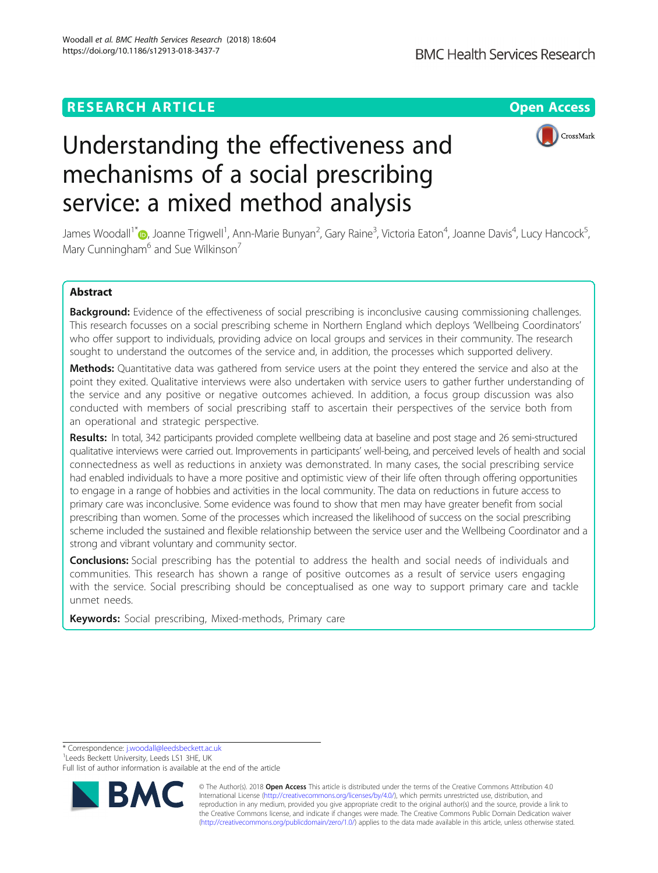# **RESEARCH ARTICLE Example 2014 12:30 The Open Access**



# Understanding the effectiveness and mechanisms of a social prescribing service: a mixed method analysis

James Woodall<sup>1\*</sup>�[,](http://orcid.org/0000-0003-1989-3999) Joanne Trigwell<sup>1</sup>, Ann-Marie Bunyan<sup>2</sup>, Gary Raine<sup>3</sup>, Victoria Eaton<sup>4</sup>, Joanne Davis<sup>4</sup>, Lucy Hancock<sup>5</sup> , Mary Cunningham $<sup>6</sup>$  and Sue Wilkinson $<sup>7</sup>$ </sup></sup>

# Abstract

Background: Evidence of the effectiveness of social prescribing is inconclusive causing commissioning challenges. This research focusses on a social prescribing scheme in Northern England which deploys 'Wellbeing Coordinators' who offer support to individuals, providing advice on local groups and services in their community. The research sought to understand the outcomes of the service and, in addition, the processes which supported delivery.

Methods: Quantitative data was gathered from service users at the point they entered the service and also at the point they exited. Qualitative interviews were also undertaken with service users to gather further understanding of the service and any positive or negative outcomes achieved. In addition, a focus group discussion was also conducted with members of social prescribing staff to ascertain their perspectives of the service both from an operational and strategic perspective.

Results: In total, 342 participants provided complete wellbeing data at baseline and post stage and 26 semi-structured qualitative interviews were carried out. Improvements in participants' well-being, and perceived levels of health and social connectedness as well as reductions in anxiety was demonstrated. In many cases, the social prescribing service had enabled individuals to have a more positive and optimistic view of their life often through offering opportunities to engage in a range of hobbies and activities in the local community. The data on reductions in future access to primary care was inconclusive. Some evidence was found to show that men may have greater benefit from social prescribing than women. Some of the processes which increased the likelihood of success on the social prescribing scheme included the sustained and flexible relationship between the service user and the Wellbeing Coordinator and a strong and vibrant voluntary and community sector.

**Conclusions:** Social prescribing has the potential to address the health and social needs of individuals and communities. This research has shown a range of positive outcomes as a result of service users engaging with the service. Social prescribing should be conceptualised as one way to support primary care and tackle unmet needs.

Keywords: Social prescribing, Mixed-methods, Primary care

\* Correspondence: [j.woodall@leedsbeckett.ac.uk](mailto:j.woodall@leedsbeckett.ac.uk) <sup>1</sup>

<sup>1</sup> Leeds Beckett University, Leeds LS1 3HE, UK

Full list of author information is available at the end of the article



© The Author(s). 2018 Open Access This article is distributed under the terms of the Creative Commons Attribution 4.0 International License [\(http://creativecommons.org/licenses/by/4.0/](http://creativecommons.org/licenses/by/4.0/)), which permits unrestricted use, distribution, and reproduction in any medium, provided you give appropriate credit to the original author(s) and the source, provide a link to the Creative Commons license, and indicate if changes were made. The Creative Commons Public Domain Dedication waiver [\(http://creativecommons.org/publicdomain/zero/1.0/](http://creativecommons.org/publicdomain/zero/1.0/)) applies to the data made available in this article, unless otherwise stated.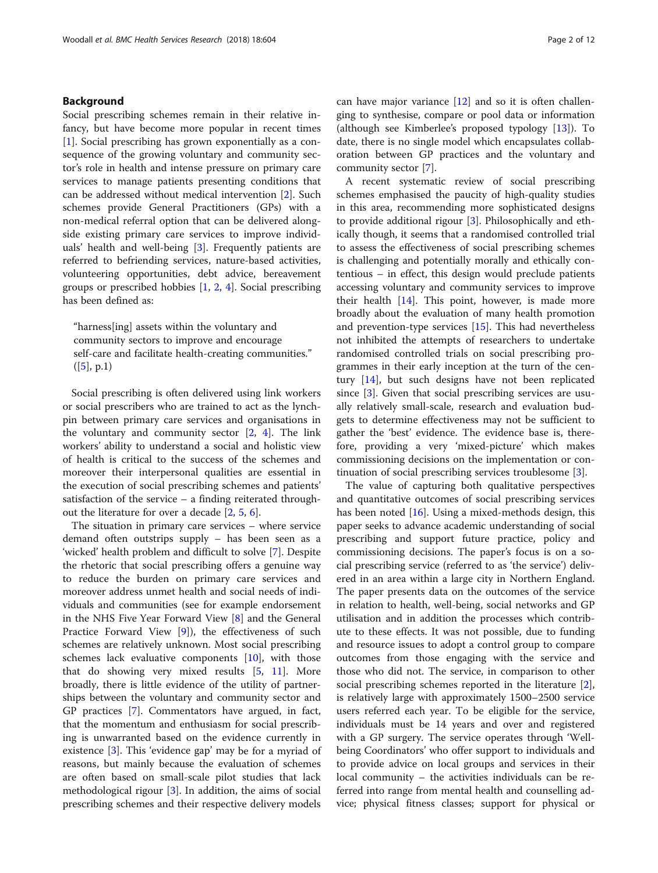# Background

Social prescribing schemes remain in their relative infancy, but have become more popular in recent times [[1\]](#page-11-0). Social prescribing has grown exponentially as a consequence of the growing voluntary and community sector's role in health and intense pressure on primary care services to manage patients presenting conditions that can be addressed without medical intervention [[2\]](#page-11-0). Such schemes provide General Practitioners (GPs) with a non-medical referral option that can be delivered alongside existing primary care services to improve individuals' health and well-being [\[3](#page-11-0)]. Frequently patients are referred to befriending services, nature-based activities, volunteering opportunities, debt advice, bereavement groups or prescribed hobbies [\[1](#page-11-0), [2,](#page-11-0) [4](#page-11-0)]. Social prescribing has been defined as:

"harness[ing] assets within the voluntary and community sectors to improve and encourage self-care and facilitate health-creating communities."  $([5], p.1)$  $([5], p.1)$  $([5], p.1)$ 

Social prescribing is often delivered using link workers or social prescribers who are trained to act as the lynchpin between primary care services and organisations in the voluntary and community sector  $[2, 4]$  $[2, 4]$  $[2, 4]$ . The link workers' ability to understand a social and holistic view of health is critical to the success of the schemes and moreover their interpersonal qualities are essential in the execution of social prescribing schemes and patients' satisfaction of the service – a finding reiterated throughout the literature for over a decade [\[2](#page-11-0), [5](#page-11-0), [6](#page-11-0)].

The situation in primary care services – where service demand often outstrips supply – has been seen as a 'wicked' health problem and difficult to solve [[7\]](#page-11-0). Despite the rhetoric that social prescribing offers a genuine way to reduce the burden on primary care services and moreover address unmet health and social needs of individuals and communities (see for example endorsement in the NHS Five Year Forward View [[8\]](#page-11-0) and the General Practice Forward View [[9\]](#page-11-0)), the effectiveness of such schemes are relatively unknown. Most social prescribing schemes lack evaluative components [\[10\]](#page-11-0), with those that do showing very mixed results [[5,](#page-11-0) [11\]](#page-11-0). More broadly, there is little evidence of the utility of partnerships between the voluntary and community sector and GP practices [\[7](#page-11-0)]. Commentators have argued, in fact, that the momentum and enthusiasm for social prescribing is unwarranted based on the evidence currently in existence [\[3](#page-11-0)]. This 'evidence gap' may be for a myriad of reasons, but mainly because the evaluation of schemes are often based on small-scale pilot studies that lack methodological rigour [\[3](#page-11-0)]. In addition, the aims of social prescribing schemes and their respective delivery models can have major variance [[12](#page-11-0)] and so it is often challenging to synthesise, compare or pool data or information (although see Kimberlee's proposed typology [[13](#page-11-0)]). To date, there is no single model which encapsulates collaboration between GP practices and the voluntary and community sector [\[7](#page-11-0)].

A recent systematic review of social prescribing schemes emphasised the paucity of high-quality studies in this area, recommending more sophisticated designs to provide additional rigour [[3\]](#page-11-0). Philosophically and ethically though, it seems that a randomised controlled trial to assess the effectiveness of social prescribing schemes is challenging and potentially morally and ethically contentious – in effect, this design would preclude patients accessing voluntary and community services to improve their health [\[14\]](#page-11-0). This point, however, is made more broadly about the evaluation of many health promotion and prevention-type services [\[15\]](#page-11-0). This had nevertheless not inhibited the attempts of researchers to undertake randomised controlled trials on social prescribing programmes in their early inception at the turn of the century [\[14\]](#page-11-0), but such designs have not been replicated since [\[3](#page-11-0)]. Given that social prescribing services are usually relatively small-scale, research and evaluation budgets to determine effectiveness may not be sufficient to gather the 'best' evidence. The evidence base is, therefore, providing a very 'mixed-picture' which makes commissioning decisions on the implementation or continuation of social prescribing services troublesome [[3](#page-11-0)].

The value of capturing both qualitative perspectives and quantitative outcomes of social prescribing services has been noted [\[16](#page-11-0)]. Using a mixed-methods design, this paper seeks to advance academic understanding of social prescribing and support future practice, policy and commissioning decisions. The paper's focus is on a social prescribing service (referred to as 'the service') delivered in an area within a large city in Northern England. The paper presents data on the outcomes of the service in relation to health, well-being, social networks and GP utilisation and in addition the processes which contribute to these effects. It was not possible, due to funding and resource issues to adopt a control group to compare outcomes from those engaging with the service and those who did not. The service, in comparison to other social prescribing schemes reported in the literature [\[2](#page-11-0)], is relatively large with approximately 1500–2500 service users referred each year. To be eligible for the service, individuals must be 14 years and over and registered with a GP surgery. The service operates through 'Wellbeing Coordinators' who offer support to individuals and to provide advice on local groups and services in their local community – the activities individuals can be referred into range from mental health and counselling advice; physical fitness classes; support for physical or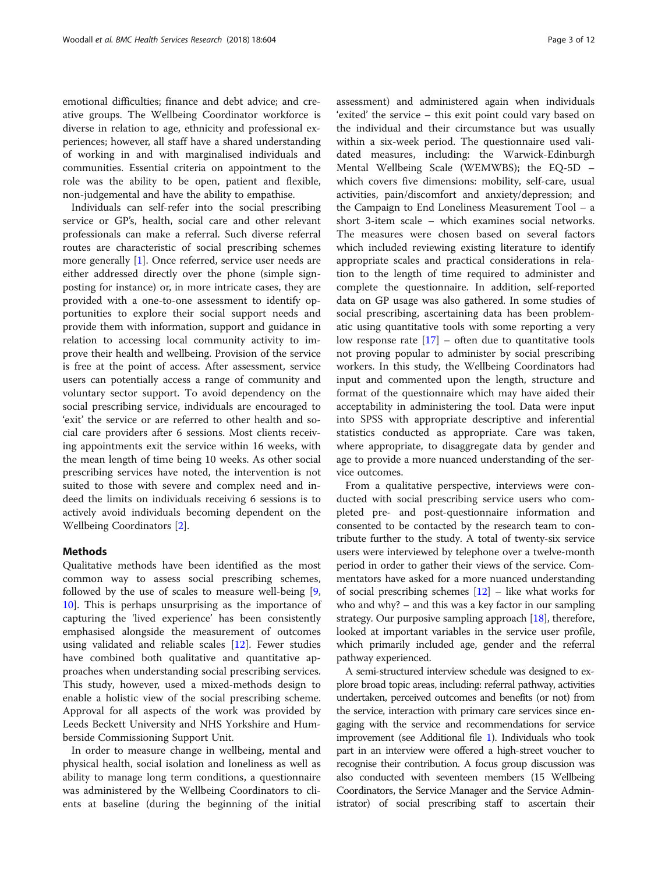emotional difficulties; finance and debt advice; and creative groups. The Wellbeing Coordinator workforce is diverse in relation to age, ethnicity and professional experiences; however, all staff have a shared understanding of working in and with marginalised individuals and communities. Essential criteria on appointment to the role was the ability to be open, patient and flexible, non-judgemental and have the ability to empathise.

Individuals can self-refer into the social prescribing service or GP's, health, social care and other relevant professionals can make a referral. Such diverse referral routes are characteristic of social prescribing schemes more generally [\[1\]](#page-11-0). Once referred, service user needs are either addressed directly over the phone (simple signposting for instance) or, in more intricate cases, they are provided with a one-to-one assessment to identify opportunities to explore their social support needs and provide them with information, support and guidance in relation to accessing local community activity to improve their health and wellbeing. Provision of the service is free at the point of access. After assessment, service users can potentially access a range of community and voluntary sector support. To avoid dependency on the social prescribing service, individuals are encouraged to 'exit' the service or are referred to other health and social care providers after 6 sessions. Most clients receiving appointments exit the service within 16 weeks, with the mean length of time being 10 weeks. As other social prescribing services have noted, the intervention is not suited to those with severe and complex need and indeed the limits on individuals receiving 6 sessions is to actively avoid individuals becoming dependent on the Wellbeing Coordinators [\[2](#page-11-0)].

#### Methods

Qualitative methods have been identified as the most common way to assess social prescribing schemes, followed by the use of scales to measure well-being [\[9](#page-11-0), [10\]](#page-11-0). This is perhaps unsurprising as the importance of capturing the 'lived experience' has been consistently emphasised alongside the measurement of outcomes using validated and reliable scales [\[12](#page-11-0)]. Fewer studies have combined both qualitative and quantitative approaches when understanding social prescribing services. This study, however, used a mixed-methods design to enable a holistic view of the social prescribing scheme. Approval for all aspects of the work was provided by Leeds Beckett University and NHS Yorkshire and Humberside Commissioning Support Unit.

In order to measure change in wellbeing, mental and physical health, social isolation and loneliness as well as ability to manage long term conditions, a questionnaire was administered by the Wellbeing Coordinators to clients at baseline (during the beginning of the initial assessment) and administered again when individuals 'exited' the service – this exit point could vary based on the individual and their circumstance but was usually within a six-week period. The questionnaire used validated measures, including: the Warwick-Edinburgh Mental Wellbeing Scale (WEMWBS); the EQ-5D – which covers five dimensions: mobility, self-care, usual activities, pain/discomfort and anxiety/depression; and the Campaign to End Loneliness Measurement Tool – a short 3-item scale – which examines social networks. The measures were chosen based on several factors which included reviewing existing literature to identify appropriate scales and practical considerations in relation to the length of time required to administer and complete the questionnaire. In addition, self-reported data on GP usage was also gathered. In some studies of social prescribing, ascertaining data has been problematic using quantitative tools with some reporting a very low response rate  $[17]$  – often due to quantitative tools not proving popular to administer by social prescribing workers. In this study, the Wellbeing Coordinators had input and commented upon the length, structure and format of the questionnaire which may have aided their acceptability in administering the tool. Data were input into SPSS with appropriate descriptive and inferential statistics conducted as appropriate. Care was taken, where appropriate, to disaggregate data by gender and age to provide a more nuanced understanding of the service outcomes.

From a qualitative perspective, interviews were conducted with social prescribing service users who completed pre- and post-questionnaire information and consented to be contacted by the research team to contribute further to the study. A total of twenty-six service users were interviewed by telephone over a twelve-month period in order to gather their views of the service. Commentators have asked for a more nuanced understanding of social prescribing schemes  $[12]$  $[12]$  $[12]$  – like what works for who and why? – and this was a key factor in our sampling strategy. Our purposive sampling approach [[18](#page-11-0)], therefore, looked at important variables in the service user profile, which primarily included age, gender and the referral pathway experienced.

A semi-structured interview schedule was designed to explore broad topic areas, including: referral pathway, activities undertaken, perceived outcomes and benefits (or not) from the service, interaction with primary care services since engaging with the service and recommendations for service improvement (see Additional file [1](#page-10-0)). Individuals who took part in an interview were offered a high-street voucher to recognise their contribution. A focus group discussion was also conducted with seventeen members (15 Wellbeing Coordinators, the Service Manager and the Service Administrator) of social prescribing staff to ascertain their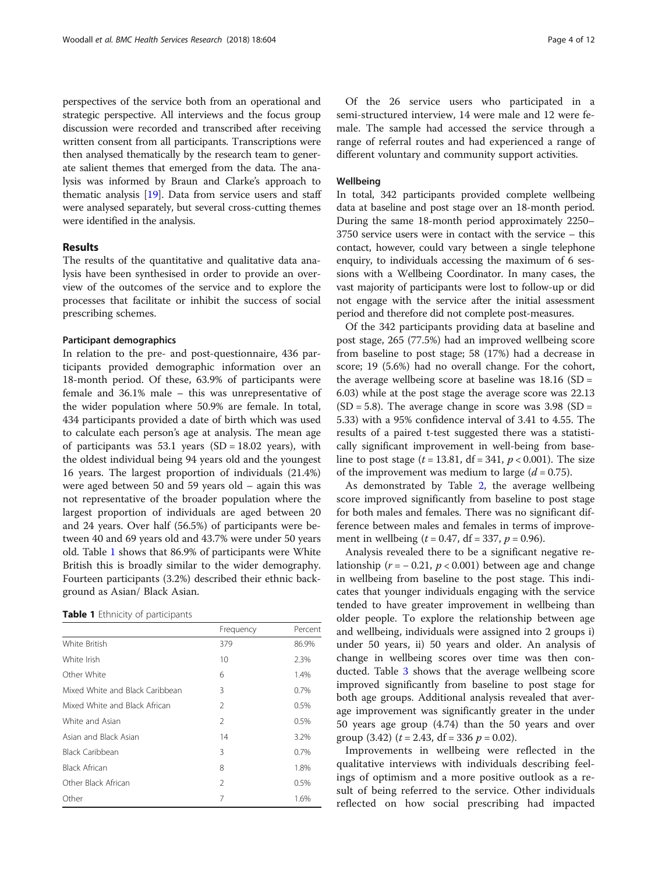perspectives of the service both from an operational and strategic perspective. All interviews and the focus group discussion were recorded and transcribed after receiving written consent from all participants. Transcriptions were then analysed thematically by the research team to generate salient themes that emerged from the data. The analysis was informed by Braun and Clarke's approach to thematic analysis [\[19](#page-11-0)]. Data from service users and staff were analysed separately, but several cross-cutting themes were identified in the analysis.

# Results

The results of the quantitative and qualitative data analysis have been synthesised in order to provide an overview of the outcomes of the service and to explore the processes that facilitate or inhibit the success of social prescribing schemes.

#### Participant demographics

In relation to the pre- and post-questionnaire, 436 participants provided demographic information over an 18-month period. Of these, 63.9% of participants were female and 36.1% male – this was unrepresentative of the wider population where 50.9% are female. In total, 434 participants provided a date of birth which was used to calculate each person's age at analysis. The mean age of participants was 53.1 years  $(SD = 18.02$  years), with the oldest individual being 94 years old and the youngest 16 years. The largest proportion of individuals (21.4%) were aged between 50 and 59 years old – again this was not representative of the broader population where the largest proportion of individuals are aged between 20 and 24 years. Over half (56.5%) of participants were between 40 and 69 years old and 43.7% were under 50 years old. Table 1 shows that 86.9% of participants were White British this is broadly similar to the wider demography. Fourteen participants (3.2%) described their ethnic background as Asian/ Black Asian.

|                                 | Frequency      | Percent |
|---------------------------------|----------------|---------|
| White British                   | 379            | 86.9%   |
| White Irish                     | 10             | 2.3%    |
| Other White                     | 6              | 1.4%    |
| Mixed White and Black Caribbean | 3              | 0.7%    |
| Mixed White and Black African   | $\mathfrak{D}$ | 0.5%    |
| White and Asian                 | 2              | 0.5%    |
| Asian and Black Asian           | 14             | 3.2%    |
| Black Caribbean                 | 3              | 0.7%    |
| Black African                   | 8              | 1.8%    |
| Other Black African             | $\mathfrak{D}$ | 0.5%    |
| Other                           | 7              | 1.6%    |

Of the 26 service users who participated in a semi-structured interview, 14 were male and 12 were female. The sample had accessed the service through a range of referral routes and had experienced a range of different voluntary and community support activities.

#### Wellbeing

In total, 342 participants provided complete wellbeing data at baseline and post stage over an 18-month period. During the same 18-month period approximately 2250– 3750 service users were in contact with the service – this contact, however, could vary between a single telephone enquiry, to individuals accessing the maximum of 6 sessions with a Wellbeing Coordinator. In many cases, the vast majority of participants were lost to follow-up or did not engage with the service after the initial assessment period and therefore did not complete post-measures.

Of the 342 participants providing data at baseline and post stage, 265 (77.5%) had an improved wellbeing score from baseline to post stage; 58 (17%) had a decrease in score; 19 (5.6%) had no overall change. For the cohort, the average wellbeing score at baseline was  $18.16$  (SD = 6.03) while at the post stage the average score was 22.13  $(SD = 5.8)$ . The average change in score was 3.98  $(SD = 5.8)$ 5.33) with a 95% confidence interval of 3.41 to 4.55. The results of a paired t-test suggested there was a statistically significant improvement in well-being from baseline to post stage  $(t = 13.81, df = 341, p < 0.001)$ . The size of the improvement was medium to large  $(d = 0.75)$ .

As demonstrated by Table [2](#page-4-0), the average wellbeing score improved significantly from baseline to post stage for both males and females. There was no significant difference between males and females in terms of improvement in wellbeing ( $t = 0.47$ , df = 337,  $p = 0.96$ ).

Analysis revealed there to be a significant negative relationship ( $r = -0.21$ ,  $p < 0.001$ ) between age and change in wellbeing from baseline to the post stage. This indicates that younger individuals engaging with the service tended to have greater improvement in wellbeing than older people. To explore the relationship between age and wellbeing, individuals were assigned into 2 groups i) under 50 years, ii) 50 years and older. An analysis of change in wellbeing scores over time was then conducted. Table [3](#page-4-0) shows that the average wellbeing score improved significantly from baseline to post stage for both age groups. Additional analysis revealed that average improvement was significantly greater in the under 50 years age group (4.74) than the 50 years and over group  $(3.42)$   $(t = 2.43, df = 336 p = 0.02)$ .

Improvements in wellbeing were reflected in the qualitative interviews with individuals describing feelings of optimism and a more positive outlook as a result of being referred to the service. Other individuals reflected on how social prescribing had impacted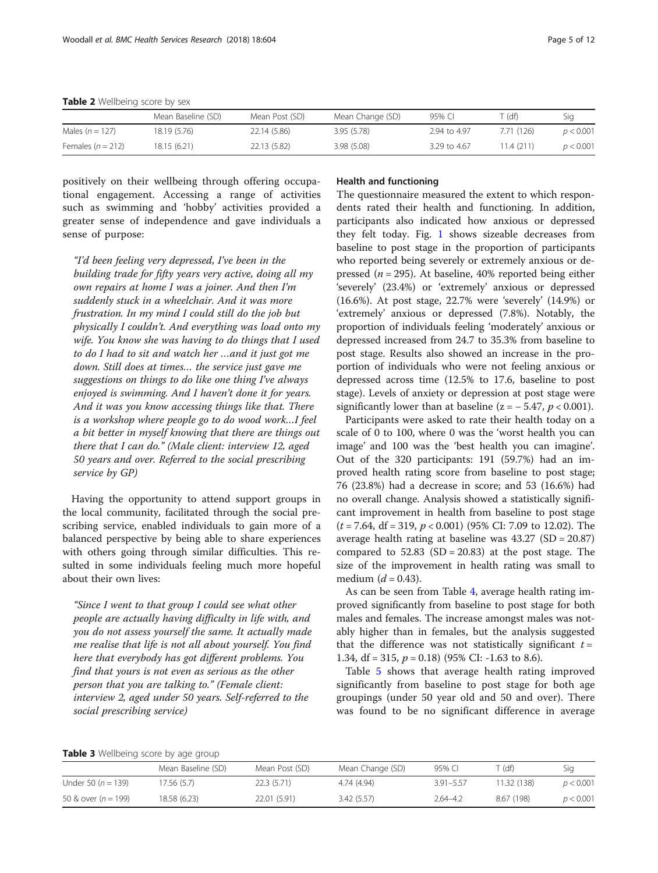|                     | Mean Baseline (SD) | Mean Post (SD) | Mean Change (SD) | 95% CI       | ⊤ (df)     | Sig       |
|---------------------|--------------------|----------------|------------------|--------------|------------|-----------|
| Males ( $n = 127$ ) | 18.19 (5.76)       | 22.14 (5.86)   | 3.95(5.78)       | 2.94 to 4.97 | 7.71 (126) | p < 0.001 |
| Females $(n = 212)$ | 18.15 (6.21)       | 22.13 (5.82)   | 3.98(5.08)       | 3.29 to 4.67 | 11.4(211)  | p < 0.001 |

<span id="page-4-0"></span>Table 2 Wellbeing score by sex

positively on their wellbeing through offering occupational engagement. Accessing a range of activities such as swimming and 'hobby' activities provided a greater sense of independence and gave individuals a sense of purpose:

"I'd been feeling very depressed, I've been in the building trade for fifty years very active, doing all my own repairs at home I was a joiner. And then I'm suddenly stuck in a wheelchair. And it was more frustration. In my mind I could still do the job but physically I couldn't. And everything was load onto my wife. You know she was having to do things that I used to do I had to sit and watch her …and it just got me down. Still does at times… the service just gave me suggestions on things to do like one thing I've always enjoyed is swimming. And I haven't done it for years. And it was you know accessing things like that. There is a workshop where people go to do wood work…I feel a bit better in myself knowing that there are things out there that I can do." (Male client: interview 12, aged 50 years and over. Referred to the social prescribing service by GP)

Having the opportunity to attend support groups in the local community, facilitated through the social prescribing service, enabled individuals to gain more of a balanced perspective by being able to share experiences with others going through similar difficulties. This resulted in some individuals feeling much more hopeful about their own lives:

"Since I went to that group I could see what other people are actually having difficulty in life with, and you do not assess yourself the same. It actually made me realise that life is not all about yourself. You find here that everybody has got different problems. You find that yours is not even as serious as the other person that you are talking to." (Female client: interview 2, aged under 50 years. Self-referred to the social prescribing service)

# Health and functioning

The questionnaire measured the extent to which respondents rated their health and functioning. In addition, participants also indicated how anxious or depressed they felt today. Fig. [1](#page-5-0) shows sizeable decreases from baseline to post stage in the proportion of participants who reported being severely or extremely anxious or depressed ( $n = 295$ ). At baseline, 40% reported being either 'severely' (23.4%) or 'extremely' anxious or depressed (16.6%). At post stage, 22.7% were 'severely' (14.9%) or 'extremely' anxious or depressed (7.8%). Notably, the proportion of individuals feeling 'moderately' anxious or depressed increased from 24.7 to 35.3% from baseline to post stage. Results also showed an increase in the proportion of individuals who were not feeling anxious or depressed across time (12.5% to 17.6, baseline to post stage). Levels of anxiety or depression at post stage were significantly lower than at baseline  $(z = -5.47, p < 0.001)$ .

Participants were asked to rate their health today on a scale of 0 to 100, where 0 was the 'worst health you can image' and 100 was the 'best health you can imagine'. Out of the 320 participants: 191 (59.7%) had an improved health rating score from baseline to post stage; 76 (23.8%) had a decrease in score; and 53 (16.6%) had no overall change. Analysis showed a statistically significant improvement in health from baseline to post stage  $(t = 7.64, df = 319, p < 0.001)$  (95% CI: 7.09 to 12.02). The average health rating at baseline was 43.27 (SD = 20.87) compared to  $52.83$  (SD = 20.83) at the post stage. The size of the improvement in health rating was small to medium  $(d = 0.43)$ .

As can be seen from Table [4](#page-5-0), average health rating improved significantly from baseline to post stage for both males and females. The increase amongst males was notably higher than in females, but the analysis suggested that the difference was not statistically significant  $t =$ 1.34, df = 315,  $p = 0.18$ ) (95% CI: -1.63 to 8.6).

Table [5](#page-6-0) shows that average health rating improved significantly from baseline to post stage for both age groupings (under 50 year old and 50 and over). There was found to be no significant difference in average

| Table 3 Wellbeing score by age group |  |  |  |  |  |
|--------------------------------------|--|--|--|--|--|
|--------------------------------------|--|--|--|--|--|

|                        | Mean Baseline (SD) | Mean Post (SD) | Mean Change (SD) | 95% CI        | T (df)      | Sig       |
|------------------------|--------------------|----------------|------------------|---------------|-------------|-----------|
| Under 50 ( $n = 139$ ) | 7.56 (5.7)         | 22.3(5.71)     | 4.74 (4.94)      | $3.91 - 5.57$ | 11.32 (138) | p < 0.001 |
| 50 & over $(n = 199)$  | 18.58 (6.23)       | 22.01 (5.91)   | 3.42(5.57)       | 2.64–4.2      | 8.67 (198)  | p < 0.001 |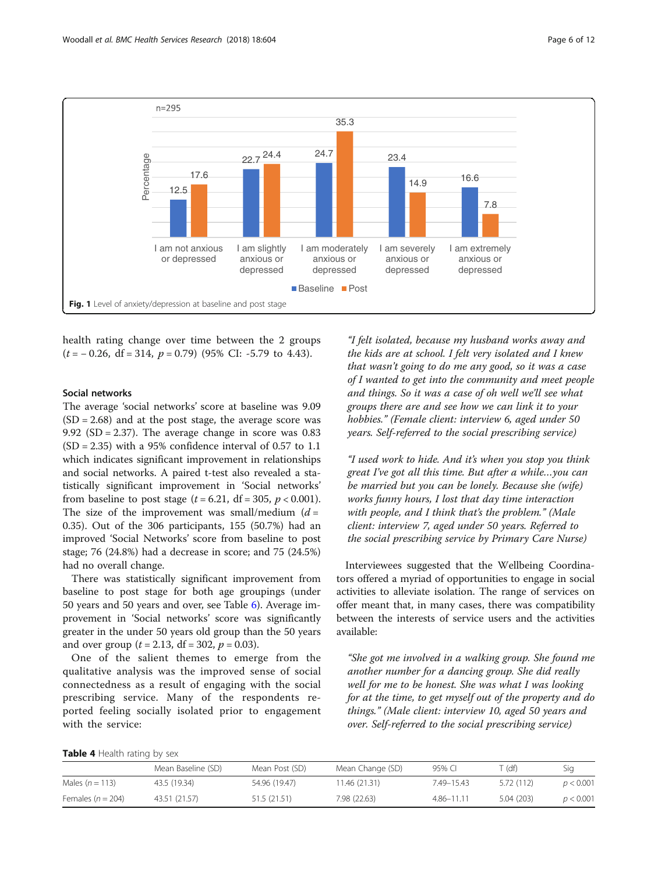<span id="page-5-0"></span>

health rating change over time between the 2 groups  $(t = -0.26, df = 314, p = 0.79)$  (95% CI: -5.79 to 4.43).

# Social networks

The average 'social networks' score at baseline was 9.09  $(SD = 2.68)$  and at the post stage, the average score was 9.92 (SD = 2.37). The average change in score was  $0.83$  $(SD = 2.35)$  with a 95% confidence interval of 0.57 to 1.1 which indicates significant improvement in relationships and social networks. A paired t-test also revealed a statistically significant improvement in 'Social networks' from baseline to post stage  $(t = 6.21, df = 305, p < 0.001)$ . The size of the improvement was small/medium  $(d =$ 0.35). Out of the 306 participants, 155 (50.7%) had an improved 'Social Networks' score from baseline to post stage; 76 (24.8%) had a decrease in score; and 75 (24.5%) had no overall change.

There was statistically significant improvement from baseline to post stage for both age groupings (under 50 years and 50 years and over, see Table [6](#page-6-0)). Average improvement in 'Social networks' score was significantly greater in the under 50 years old group than the 50 years and over group ( $t = 2.13$ , df = 302,  $p = 0.03$ ).

One of the salient themes to emerge from the qualitative analysis was the improved sense of social connectedness as a result of engaging with the social prescribing service. Many of the respondents reported feeling socially isolated prior to engagement with the service:

"I felt isolated, because my husband works away and the kids are at school. I felt very isolated and I knew that wasn't going to do me any good, so it was a case of I wanted to get into the community and meet people and things. So it was a case of oh well we'll see what groups there are and see how we can link it to your hobbies." (Female client: interview 6, aged under 50 years. Self-referred to the social prescribing service)

"I used work to hide. And it's when you stop you think great I've got all this time. But after a while…you can be married but you can be lonely. Because she (wife) works funny hours, I lost that day time interaction with people, and I think that's the problem." (Male client: interview 7, aged under 50 years. Referred to the social prescribing service by Primary Care Nurse)

Interviewees suggested that the Wellbeing Coordinators offered a myriad of opportunities to engage in social activities to alleviate isolation. The range of services on offer meant that, in many cases, there was compatibility between the interests of service users and the activities available:

"She got me involved in a walking group. She found me another number for a dancing group. She did really well for me to be honest. She was what I was looking for at the time, to get myself out of the property and do things." (Male client: interview 10, aged 50 years and over. Self-referred to the social prescribing service)

| Table 4 Health rating by sex |  |
|------------------------------|--|
|------------------------------|--|

|                     | Mean Baseline (SD) | Mean Post (SD) | Mean Change (SD) | 95% CI         | $\tau$ (df) | Sig       |
|---------------------|--------------------|----------------|------------------|----------------|-------------|-----------|
| Males $(n = 113)$   | 43.5 (19.34)       | 54.96 (19.47)  | 1.46 (21.31)     | 7.49-15.43     | 5.72(112)   | p < 0.001 |
| Females $(n = 204)$ | 43.51 (21.57)      | 51.5 (21.51)   | 7.98 (22.63)     | $4.86 - 11.11$ | 5.04 (203)  | p < 0.001 |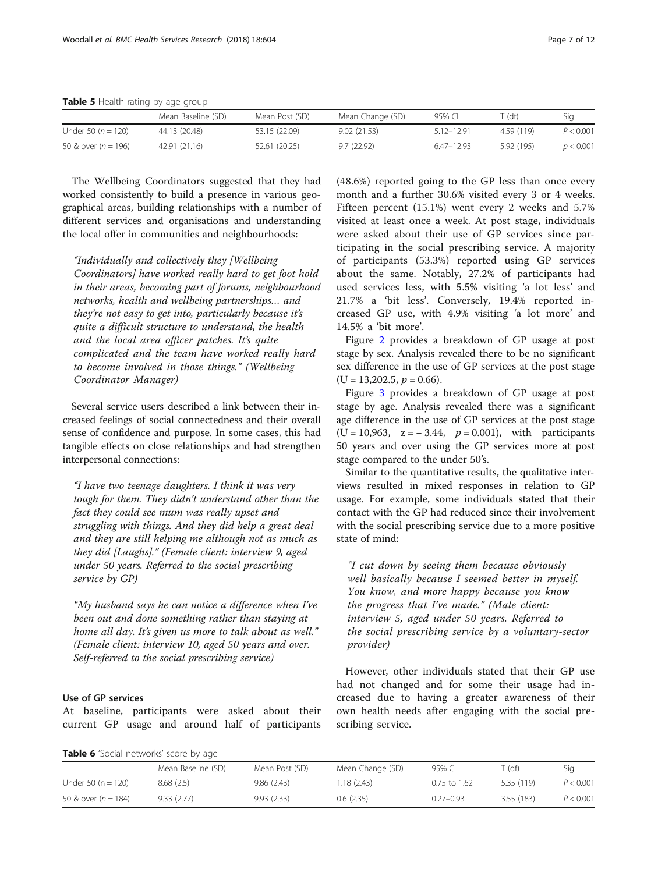<span id="page-6-0"></span>

| Table 5 Health rating by age group |  |  |  |  |  |  |
|------------------------------------|--|--|--|--|--|--|
|------------------------------------|--|--|--|--|--|--|

|                        | Mean Baseline (SD) | Mean Post (SD) | Mean Change (SD) | 95% CI         | ⊤ (df)     | Sig       |
|------------------------|--------------------|----------------|------------------|----------------|------------|-----------|
| Under 50 ( $n = 120$ ) | 44.13 (20.48)      | 53.15 (22.09)  | 9.02(21.53)      | $5.12 - 12.91$ | 4.59 (119) | P < 0.001 |
| 50 & over $(n = 196)$  | 42.91 (21.16)      | 52.61 (20.25)  | 9.7(22.92)       | $6.47 - 12.93$ | 5.92 (195) | p < 0.001 |

The Wellbeing Coordinators suggested that they had worked consistently to build a presence in various geographical areas, building relationships with a number of different services and organisations and understanding the local offer in communities and neighbourhoods:

"Individually and collectively they [Wellbeing Coordinators] have worked really hard to get foot hold in their areas, becoming part of forums, neighbourhood networks, health and wellbeing partnerships… and they're not easy to get into, particularly because it's quite a difficult structure to understand, the health and the local area officer patches. It's quite complicated and the team have worked really hard to become involved in those things." (Wellbeing Coordinator Manager)

Several service users described a link between their increased feelings of social connectedness and their overall sense of confidence and purpose. In some cases, this had tangible effects on close relationships and had strengthen interpersonal connections:

"I have two teenage daughters. I think it was very tough for them. They didn't understand other than the fact they could see mum was really upset and struggling with things. And they did help a great deal and they are still helping me although not as much as they did [Laughs]." (Female client: interview 9, aged under 50 years. Referred to the social prescribing service by GP)

"My husband says he can notice a difference when I've been out and done something rather than staying at home all day. It's given us more to talk about as well." (Female client: interview 10, aged 50 years and over. Self-referred to the social prescribing service)

# Use of GP services

At baseline, participants were asked about their current GP usage and around half of participants

(48.6%) reported going to the GP less than once every month and a further 30.6% visited every 3 or 4 weeks. Fifteen percent (15.1%) went every 2 weeks and 5.7% visited at least once a week. At post stage, individuals were asked about their use of GP services since participating in the social prescribing service. A majority of participants (53.3%) reported using GP services about the same. Notably, 27.2% of participants had used services less, with 5.5% visiting 'a lot less' and 21.7% a 'bit less'. Conversely, 19.4% reported increased GP use, with 4.9% visiting 'a lot more' and 14.5% a 'bit more'.

Figure [2](#page-7-0) provides a breakdown of GP usage at post stage by sex. Analysis revealed there to be no significant sex difference in the use of GP services at the post stage  $(U = 13,202.5, p = 0.66).$ 

Figure [3](#page-7-0) provides a breakdown of GP usage at post stage by age. Analysis revealed there was a significant age difference in the use of GP services at the post stage  $(U = 10,963, z = -3.44, p = 0.001)$ , with participants 50 years and over using the GP services more at post stage compared to the under 50's.

Similar to the quantitative results, the qualitative interviews resulted in mixed responses in relation to GP usage. For example, some individuals stated that their contact with the GP had reduced since their involvement with the social prescribing service due to a more positive state of mind:

"I cut down by seeing them because obviously well basically because I seemed better in myself. You know, and more happy because you know the progress that I've made." (Male client: interview 5, aged under 50 years. Referred to the social prescribing service by a voluntary-sector provider)

However, other individuals stated that their GP use had not changed and for some their usage had increased due to having a greater awareness of their own health needs after engaging with the social prescribing service.

| Table 6 'Social networks' score by age |  |  |
|----------------------------------------|--|--|
|----------------------------------------|--|--|

|                        | Mean Baseline (SD) | Mean Post (SD) | Mean Change (SD) | 95% CI        | T (df)     | Sig       |
|------------------------|--------------------|----------------|------------------|---------------|------------|-----------|
| Under 50 ( $n = 120$ ) | 8.68(2.5)          | 9.86(2.43)     | 18(2.43)         | 0.75 to 1.62  | 5.35 (119) | P < 0.001 |
| 50 & over $(n = 184)$  | 9.33(2.77)         | 9.93(2.33)     | 0.6(2.35)        | $0.27 - 0.93$ | 3.55(183)  | P < 0.001 |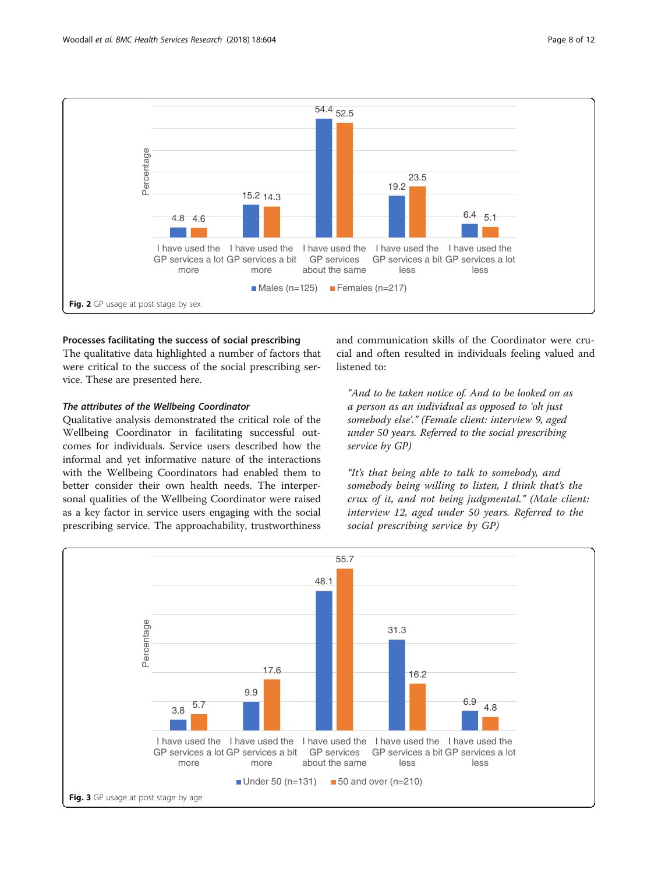<span id="page-7-0"></span>

## Processes facilitating the success of social prescribing

The qualitative data highlighted a number of factors that were critical to the success of the social prescribing service. These are presented here.

#### The attributes of the Wellbeing Coordinator

Qualitative analysis demonstrated the critical role of the Wellbeing Coordinator in facilitating successful outcomes for individuals. Service users described how the informal and yet informative nature of the interactions with the Wellbeing Coordinators had enabled them to better consider their own health needs. The interpersonal qualities of the Wellbeing Coordinator were raised as a key factor in service users engaging with the social prescribing service. The approachability, trustworthiness

and communication skills of the Coordinator were crucial and often resulted in individuals feeling valued and listened to:

"And to be taken notice of. And to be looked on as a person as an individual as opposed to 'oh just somebody else'." (Female client: interview 9, aged under 50 years. Referred to the social prescribing service by GP)

"It's that being able to talk to somebody, and somebody being willing to listen, I think that's the crux of it, and not being judgmental." (Male client: interview 12, aged under 50 years. Referred to the social prescribing service by GP)

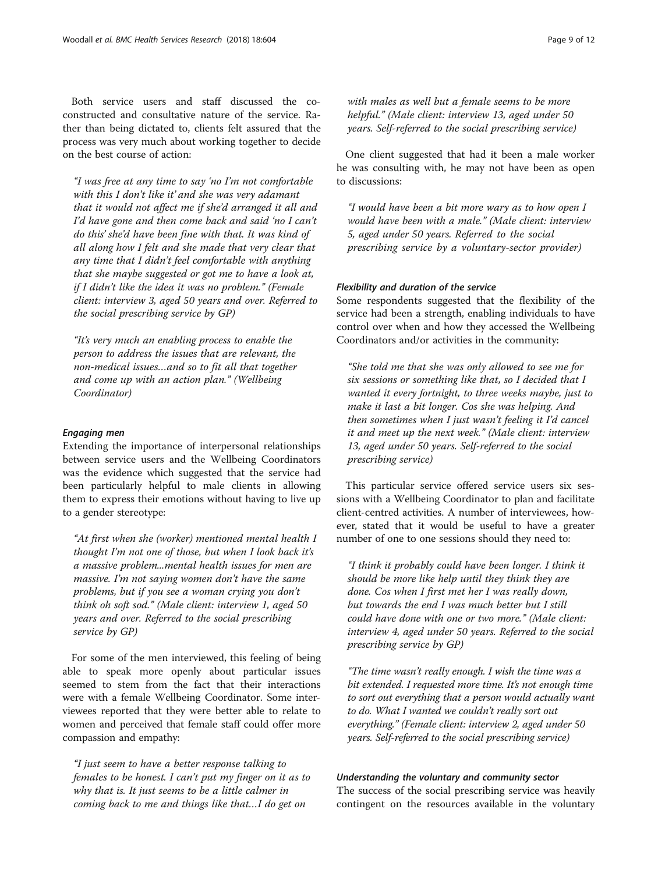Both service users and staff discussed the coconstructed and consultative nature of the service. Rather than being dictated to, clients felt assured that the process was very much about working together to decide on the best course of action:

"I was free at any time to say 'no I'm not comfortable with this I don't like it' and she was very adamant that it would not affect me if she'd arranged it all and I'd have gone and then come back and said 'no I can't do this' she'd have been fine with that. It was kind of all along how I felt and she made that very clear that any time that I didn't feel comfortable with anything that she maybe suggested or got me to have a look at, if I didn't like the idea it was no problem." (Female client: interview 3, aged 50 years and over. Referred to the social prescribing service by GP)

"It's very much an enabling process to enable the person to address the issues that are relevant, the non-medical issues…and so to fit all that together and come up with an action plan." (Wellbeing Coordinator)

## Engaging men

Extending the importance of interpersonal relationships between service users and the Wellbeing Coordinators was the evidence which suggested that the service had been particularly helpful to male clients in allowing them to express their emotions without having to live up to a gender stereotype:

"At first when she (worker) mentioned mental health I thought I'm not one of those, but when I look back it's a massive problem...mental health issues for men are massive. I'm not saying women don't have the same problems, but if you see a woman crying you don't think oh soft sod." (Male client: interview 1, aged 50 years and over. Referred to the social prescribing service by GP)

For some of the men interviewed, this feeling of being able to speak more openly about particular issues seemed to stem from the fact that their interactions were with a female Wellbeing Coordinator. Some interviewees reported that they were better able to relate to women and perceived that female staff could offer more compassion and empathy:

"I just seem to have a better response talking to females to be honest. I can't put my finger on it as to why that is. It just seems to be a little calmer in coming back to me and things like that…I do get on

with males as well but a female seems to be more helpful." (Male client: interview 13, aged under 50 years. Self-referred to the social prescribing service)

One client suggested that had it been a male worker he was consulting with, he may not have been as open to discussions:

"I would have been a bit more wary as to how open I would have been with a male." (Male client: interview 5, aged under 50 years. Referred to the social prescribing service by a voluntary-sector provider)

## Flexibility and duration of the service

Some respondents suggested that the flexibility of the service had been a strength, enabling individuals to have control over when and how they accessed the Wellbeing Coordinators and/or activities in the community:

"She told me that she was only allowed to see me for six sessions or something like that, so I decided that I wanted it every fortnight, to three weeks maybe, just to make it last a bit longer. Cos she was helping. And then sometimes when I just wasn't feeling it I'd cancel it and meet up the next week." (Male client: interview 13, aged under 50 years. Self-referred to the social prescribing service)

This particular service offered service users six sessions with a Wellbeing Coordinator to plan and facilitate client-centred activities. A number of interviewees, however, stated that it would be useful to have a greater number of one to one sessions should they need to:

"I think it probably could have been longer. I think it should be more like help until they think they are done. Cos when I first met her I was really down, but towards the end I was much better but I still could have done with one or two more." (Male client: interview 4, aged under 50 years. Referred to the social prescribing service by GP)

"The time wasn't really enough. I wish the time was a bit extended. I requested more time. It's not enough time to sort out everything that a person would actually want to do. What I wanted we couldn't really sort out everything." (Female client: interview 2, aged under 50 years. Self-referred to the social prescribing service)

# Understanding the voluntary and community sector

The success of the social prescribing service was heavily contingent on the resources available in the voluntary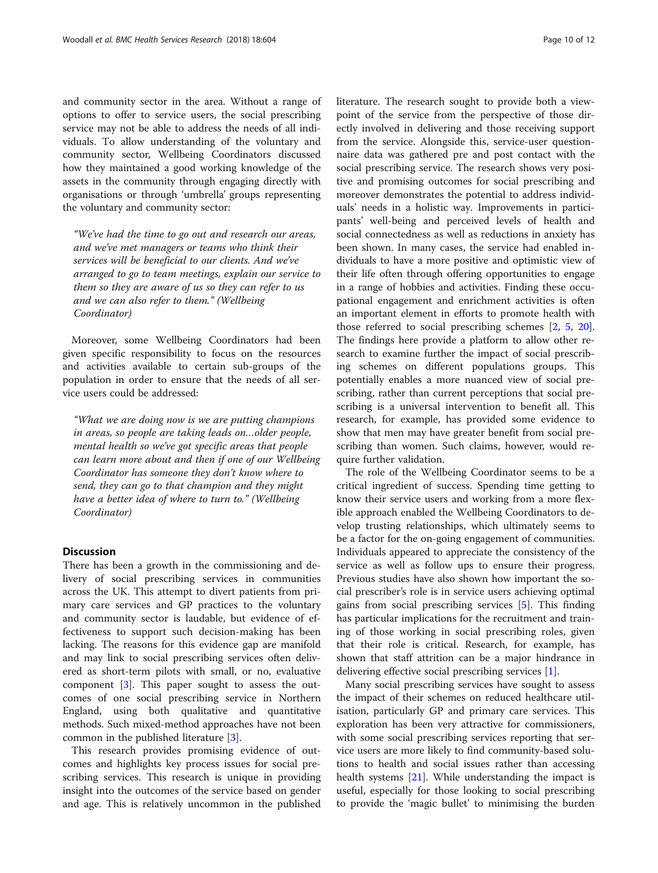and community sector in the area. Without a range of options to offer to service users, the social prescribing service may not be able to address the needs of all individuals. To allow understanding of the voluntary and community sector, Wellbeing Coordinators discussed how they maintained a good working knowledge of the assets in the community through engaging directly with organisations or through 'umbrella' groups representing the voluntary and community sector:

"We've had the time to go out and research our areas, and we've met managers or teams who think their services will be beneficial to our clients. And we've arranged to go to team meetings, explain our service to them so they are aware of us so they can refer to us and we can also refer to them." (Wellbeing Coordinator)

Moreover, some Wellbeing Coordinators had been given specific responsibility to focus on the resources and activities available to certain sub-groups of the population in order to ensure that the needs of all service users could be addressed:

"What we are doing now is we are putting champions in areas, so people are taking leads on…older people, mental health so we've got specific areas that people can learn more about and then if one of our Wellbeing Coordinator has someone they don't know where to send, they can go to that champion and they might have a better idea of where to turn to." (Wellbeing Coordinator)

# Discussion

There has been a growth in the commissioning and delivery of social prescribing services in communities across the UK. This attempt to divert patients from primary care services and GP practices to the voluntary and community sector is laudable, but evidence of effectiveness to support such decision-making has been lacking. The reasons for this evidence gap are manifold and may link to social prescribing services often delivered as short-term pilots with small, or no, evaluative component [[3\]](#page-11-0). This paper sought to assess the outcomes of one social prescribing service in Northern England, using both qualitative and quantitative methods. Such mixed-method approaches have not been common in the published literature [[3\]](#page-11-0).

This research provides promising evidence of outcomes and highlights key process issues for social prescribing services. This research is unique in providing insight into the outcomes of the service based on gender and age. This is relatively uncommon in the published literature. The research sought to provide both a viewpoint of the service from the perspective of those directly involved in delivering and those receiving support from the service. Alongside this, service-user questionnaire data was gathered pre and post contact with the social prescribing service. The research shows very positive and promising outcomes for social prescribing and moreover demonstrates the potential to address individuals' needs in a holistic way. Improvements in participants' well-being and perceived levels of health and social connectedness as well as reductions in anxiety has been shown. In many cases, the service had enabled individuals to have a more positive and optimistic view of their life often through offering opportunities to engage in a range of hobbies and activities. Finding these occupational engagement and enrichment activities is often an important element in efforts to promote health with those referred to social prescribing schemes [\[2](#page-11-0), [5,](#page-11-0) [20](#page-11-0)]. The findings here provide a platform to allow other research to examine further the impact of social prescribing schemes on different populations groups. This potentially enables a more nuanced view of social prescribing, rather than current perceptions that social prescribing is a universal intervention to benefit all. This research, for example, has provided some evidence to show that men may have greater benefit from social prescribing than women. Such claims, however, would require further validation.

The role of the Wellbeing Coordinator seems to be a critical ingredient of success. Spending time getting to know their service users and working from a more flexible approach enabled the Wellbeing Coordinators to develop trusting relationships, which ultimately seems to be a factor for the on-going engagement of communities. Individuals appeared to appreciate the consistency of the service as well as follow ups to ensure their progress. Previous studies have also shown how important the social prescriber's role is in service users achieving optimal gains from social prescribing services [\[5](#page-11-0)]. This finding has particular implications for the recruitment and training of those working in social prescribing roles, given that their role is critical. Research, for example, has shown that staff attrition can be a major hindrance in delivering effective social prescribing services [\[1](#page-11-0)].

Many social prescribing services have sought to assess the impact of their schemes on reduced healthcare utilisation, particularly GP and primary care services. This exploration has been very attractive for commissioners, with some social prescribing services reporting that service users are more likely to find community-based solutions to health and social issues rather than accessing health systems [[21](#page-11-0)]. While understanding the impact is useful, especially for those looking to social prescribing to provide the 'magic bullet' to minimising the burden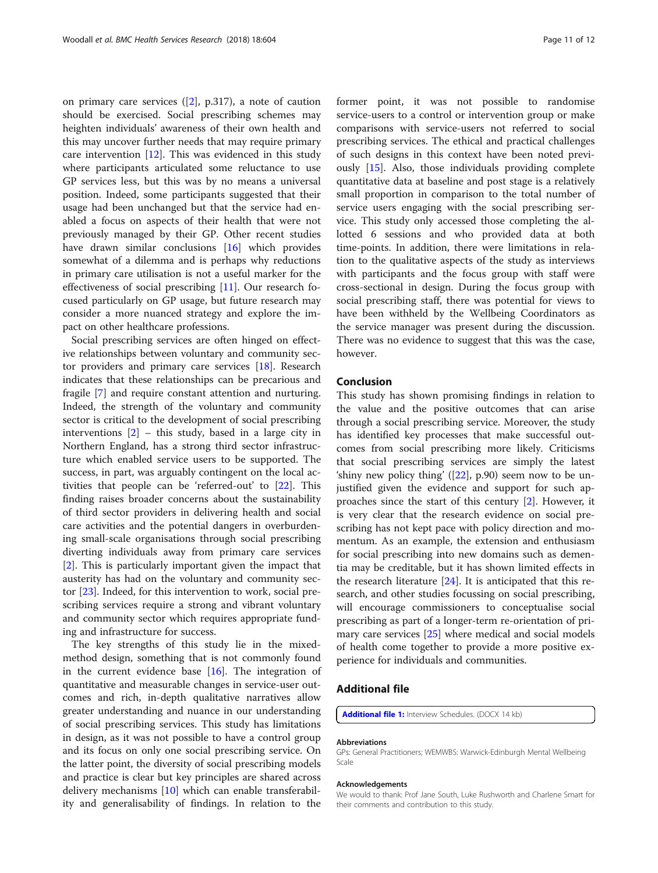<span id="page-10-0"></span>on primary care services ([\[2](#page-11-0)], p.317), a note of caution should be exercised. Social prescribing schemes may heighten individuals' awareness of their own health and this may uncover further needs that may require primary care intervention [\[12](#page-11-0)]. This was evidenced in this study where participants articulated some reluctance to use GP services less, but this was by no means a universal position. Indeed, some participants suggested that their usage had been unchanged but that the service had enabled a focus on aspects of their health that were not previously managed by their GP. Other recent studies have drawn similar conclusions [[16](#page-11-0)] which provides somewhat of a dilemma and is perhaps why reductions in primary care utilisation is not a useful marker for the effectiveness of social prescribing [[11\]](#page-11-0). Our research focused particularly on GP usage, but future research may consider a more nuanced strategy and explore the impact on other healthcare professions.

Social prescribing services are often hinged on effective relationships between voluntary and community sector providers and primary care services [\[18](#page-11-0)]. Research indicates that these relationships can be precarious and fragile [[7](#page-11-0)] and require constant attention and nurturing. Indeed, the strength of the voluntary and community sector is critical to the development of social prescribing interventions  $[2]$  $[2]$  – this study, based in a large city in Northern England, has a strong third sector infrastructure which enabled service users to be supported. The success, in part, was arguably contingent on the local activities that people can be 'referred-out' to [[22\]](#page-11-0). This finding raises broader concerns about the sustainability of third sector providers in delivering health and social care activities and the potential dangers in overburdening small-scale organisations through social prescribing diverting individuals away from primary care services [[2\]](#page-11-0). This is particularly important given the impact that austerity has had on the voluntary and community sector [[23\]](#page-11-0). Indeed, for this intervention to work, social prescribing services require a strong and vibrant voluntary and community sector which requires appropriate funding and infrastructure for success.

The key strengths of this study lie in the mixedmethod design, something that is not commonly found in the current evidence base  $[16]$  $[16]$ . The integration of quantitative and measurable changes in service-user outcomes and rich, in-depth qualitative narratives allow greater understanding and nuance in our understanding of social prescribing services. This study has limitations in design, as it was not possible to have a control group and its focus on only one social prescribing service. On the latter point, the diversity of social prescribing models and practice is clear but key principles are shared across delivery mechanisms [\[10\]](#page-11-0) which can enable transferability and generalisability of findings. In relation to the former point, it was not possible to randomise service-users to a control or intervention group or make comparisons with service-users not referred to social prescribing services. The ethical and practical challenges of such designs in this context have been noted previously [\[15](#page-11-0)]. Also, those individuals providing complete quantitative data at baseline and post stage is a relatively small proportion in comparison to the total number of service users engaging with the social prescribing service. This study only accessed those completing the allotted 6 sessions and who provided data at both time-points. In addition, there were limitations in relation to the qualitative aspects of the study as interviews with participants and the focus group with staff were cross-sectional in design. During the focus group with social prescribing staff, there was potential for views to have been withheld by the Wellbeing Coordinators as the service manager was present during the discussion. There was no evidence to suggest that this was the case, however.

# Conclusion

This study has shown promising findings in relation to the value and the positive outcomes that can arise through a social prescribing service. Moreover, the study has identified key processes that make successful outcomes from social prescribing more likely. Criticisms that social prescribing services are simply the latest 'shiny new policy thing'  $([22]$  $([22]$ , p.90) seem now to be unjustified given the evidence and support for such approaches since the start of this century [[2\]](#page-11-0). However, it is very clear that the research evidence on social prescribing has not kept pace with policy direction and momentum. As an example, the extension and enthusiasm for social prescribing into new domains such as dementia may be creditable, but it has shown limited effects in the research literature  $[24]$  $[24]$  $[24]$ . It is anticipated that this research, and other studies focussing on social prescribing, will encourage commissioners to conceptualise social prescribing as part of a longer-term re-orientation of primary care services [[25](#page-11-0)] where medical and social models of health come together to provide a more positive experience for individuals and communities.

#### Additional file

[Additional file 1:](https://doi.org/10.1186/s12913-018-3437-7) Interview Schedules. (DOCX 14 kb)

#### Abbreviations

GPs: General Practitioners; WEMWBS: Warwick-Edinburgh Mental Wellbeing Scale

#### Acknowledgements

We would to thank: Prof Jane South, Luke Rushworth and Charlene Smart for their comments and contribution to this study.